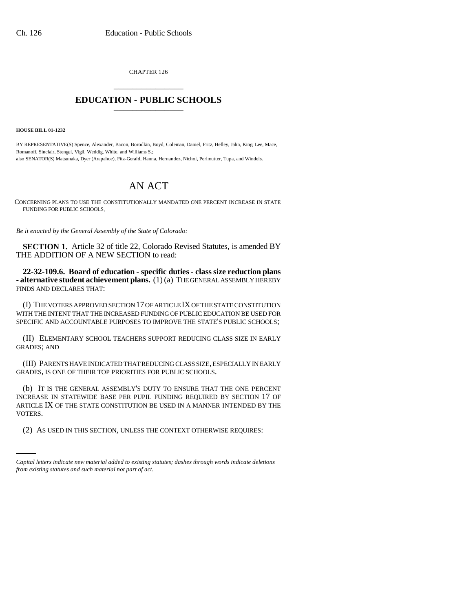CHAPTER 126 \_\_\_\_\_\_\_\_\_\_\_\_\_\_\_

## **EDUCATION - PUBLIC SCHOOLS** \_\_\_\_\_\_\_\_\_\_\_\_\_\_\_

**HOUSE BILL 01-1232**

BY REPRESENTATIVE(S) Spence, Alexander, Bacon, Borodkin, Boyd, Coleman, Daniel, Fritz, Hefley, Jahn, King, Lee, Mace, Romanoff, Sinclair, Stengel, Vigil, Weddig, White, and Williams S.; also SENATOR(S) Matsunaka, Dyer (Arapahoe), Fitz-Gerald, Hanna, Hernandez, Nichol, Perlmutter, Tupa, and Windels.

## AN ACT

CONCERNING PLANS TO USE THE CONSTITUTIONALLY MANDATED ONE PERCENT INCREASE IN STATE FUNDING FOR PUBLIC SCHOOLS.

*Be it enacted by the General Assembly of the State of Colorado:*

**SECTION 1.** Article 32 of title 22, Colorado Revised Statutes, is amended BY THE ADDITION OF A NEW SECTION to read:

**22-32-109.6. Board of education - specific duties - class size reduction plans - alternative student achievement plans.** (1) (a) THE GENERAL ASSEMBLY HEREBY FINDS AND DECLARES THAT:

(I) THE VOTERS APPROVED SECTION 17 OF ARTICLE IX OF THE STATE CONSTITUTION WITH THE INTENT THAT THE INCREASED FUNDING OF PUBLIC EDUCATION BE USED FOR SPECIFIC AND ACCOUNTABLE PURPOSES TO IMPROVE THE STATE'S PUBLIC SCHOOLS;

(II) ELEMENTARY SCHOOL TEACHERS SUPPORT REDUCING CLASS SIZE IN EARLY GRADES; AND

(III) PARENTS HAVE INDICATED THAT REDUCING CLASS SIZE, ESPECIALLY IN EARLY GRADES, IS ONE OF THEIR TOP PRIORITIES FOR PUBLIC SCHOOLS.

VOTERS. (b) IT IS THE GENERAL ASSEMBLY'S DUTY TO ENSURE THAT THE ONE PERCENT INCREASE IN STATEWIDE BASE PER PUPIL FUNDING REQUIRED BY SECTION 17 OF ARTICLE IX OF THE STATE CONSTITUTION BE USED IN A MANNER INTENDED BY THE

(2) AS USED IN THIS SECTION, UNLESS THE CONTEXT OTHERWISE REQUIRES:

*Capital letters indicate new material added to existing statutes; dashes through words indicate deletions from existing statutes and such material not part of act.*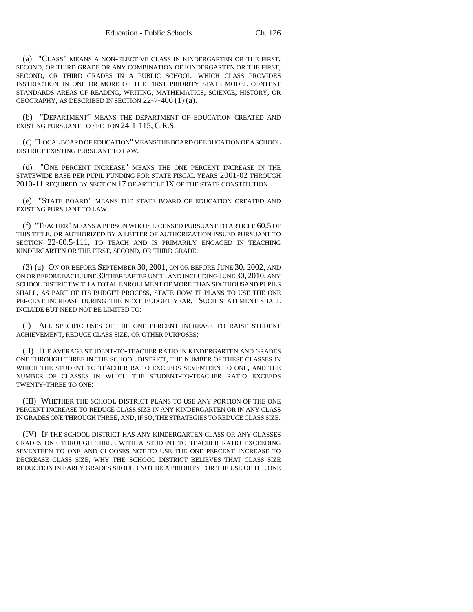(a) "CLASS" MEANS A NON-ELECTIVE CLASS IN KINDERGARTEN OR THE FIRST, SECOND, OR THIRD GRADE OR ANY COMBINATION OF KINDERGARTEN OR THE FIRST, SECOND, OR THIRD GRADES IN A PUBLIC SCHOOL, WHICH CLASS PROVIDES INSTRUCTION IN ONE OR MORE OF THE FIRST PRIORITY STATE MODEL CONTENT STANDARDS AREAS OF READING, WRITING, MATHEMATICS, SCIENCE, HISTORY, OR GEOGRAPHY, AS DESCRIBED IN SECTION 22-7-406 (1) (a).

(b) "DEPARTMENT" MEANS THE DEPARTMENT OF EDUCATION CREATED AND EXISTING PURSUANT TO SECTION 24-1-115, C.R.S.

(c) "LOCAL BOARD OF EDUCATION" MEANS THE BOARD OF EDUCATION OF A SCHOOL DISTRICT EXISTING PURSUANT TO LAW.

(d) "ONE PERCENT INCREASE" MEANS THE ONE PERCENT INCREASE IN THE STATEWIDE BASE PER PUPIL FUNDING FOR STATE FISCAL YEARS 2001-02 THROUGH 2010-11 REQUIRED BY SECTION 17 OF ARTICLE IX OF THE STATE CONSTITUTION.

(e) "STATE BOARD" MEANS THE STATE BOARD OF EDUCATION CREATED AND EXISTING PURSUANT TO LAW.

(f) "TEACHER" MEANS A PERSON WHO IS LICENSED PURSUANT TO ARTICLE 60.5 OF THIS TITLE, OR AUTHORIZED BY A LETTER OF AUTHORIZATION ISSUED PURSUANT TO SECTION 22-60.5-111, TO TEACH AND IS PRIMARILY ENGAGED IN TEACHING KINDERGARTEN OR THE FIRST, SECOND, OR THIRD GRADE.

(3) (a) ON OR BEFORE SEPTEMBER 30, 2001, ON OR BEFORE JUNE 30, 2002, AND ON OR BEFORE EACH JUNE 30 THEREAFTER UNTIL AND INCLUDING JUNE 30, 2010, ANY SCHOOL DISTRICT WITH A TOTAL ENROLLMENT OF MORE THAN SIX THOUSAND PUPILS SHALL, AS PART OF ITS BUDGET PROCESS, STATE HOW IT PLANS TO USE THE ONE PERCENT INCREASE DURING THE NEXT BUDGET YEAR. SUCH STATEMENT SHALL INCLUDE BUT NEED NOT BE LIMITED TO:

(I) ALL SPECIFIC USES OF THE ONE PERCENT INCREASE TO RAISE STUDENT ACHIEVEMENT, REDUCE CLASS SIZE, OR OTHER PURPOSES;

(II) THE AVERAGE STUDENT-TO-TEACHER RATIO IN KINDERGARTEN AND GRADES ONE THROUGH THREE IN THE SCHOOL DISTRICT, THE NUMBER OF THESE CLASSES IN WHICH THE STUDENT-TO-TEACHER RATIO EXCEEDS SEVENTEEN TO ONE, AND THE NUMBER OF CLASSES IN WHICH THE STUDENT-TO-TEACHER RATIO EXCEEDS TWENTY-THREE TO ONE;

(III) WHETHER THE SCHOOL DISTRICT PLANS TO USE ANY PORTION OF THE ONE PERCENT INCREASE TO REDUCE CLASS SIZE IN ANY KINDERGARTEN OR IN ANY CLASS IN GRADES ONE THROUGH THREE, AND, IF SO, THE STRATEGIES TO REDUCE CLASS SIZE.

(IV) IF THE SCHOOL DISTRICT HAS ANY KINDERGARTEN CLASS OR ANY CLASSES GRADES ONE THROUGH THREE WITH A STUDENT-TO-TEACHER RATIO EXCEEDING SEVENTEEN TO ONE AND CHOOSES NOT TO USE THE ONE PERCENT INCREASE TO DECREASE CLASS SIZE, WHY THE SCHOOL DISTRICT BELIEVES THAT CLASS SIZE REDUCTION IN EARLY GRADES SHOULD NOT BE A PRIORITY FOR THE USE OF THE ONE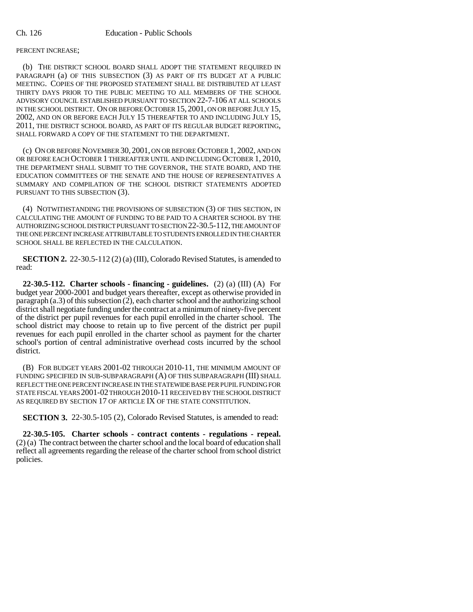## PERCENT INCREASE;

(b) THE DISTRICT SCHOOL BOARD SHALL ADOPT THE STATEMENT REQUIRED IN PARAGRAPH (a) OF THIS SUBSECTION (3) AS PART OF ITS BUDGET AT A PUBLIC MEETING. COPIES OF THE PROPOSED STATEMENT SHALL BE DISTRIBUTED AT LEAST THIRTY DAYS PRIOR TO THE PUBLIC MEETING TO ALL MEMBERS OF THE SCHOOL ADVISORY COUNCIL ESTABLISHED PURSUANT TO SECTION 22-7-106 AT ALL SCHOOLS IN THE SCHOOL DISTRICT. ON OR BEFORE OCTOBER 15, 2001, ON OR BEFORE JULY 15, 2002, AND ON OR BEFORE EACH JULY 15 THEREAFTER TO AND INCLUDING JULY 15, 2011, THE DISTRICT SCHOOL BOARD, AS PART OF ITS REGULAR BUDGET REPORTING, SHALL FORWARD A COPY OF THE STATEMENT TO THE DEPARTMENT.

(c) ON OR BEFORE NOVEMBER 30, 2001, ON OR BEFORE OCTOBER 1, 2002, AND ON OR BEFORE EACH OCTOBER 1 THEREAFTER UNTIL AND INCLUDING OCTOBER 1, 2010, THE DEPARTMENT SHALL SUBMIT TO THE GOVERNOR, THE STATE BOARD, AND THE EDUCATION COMMITTEES OF THE SENATE AND THE HOUSE OF REPRESENTATIVES A SUMMARY AND COMPILATION OF THE SCHOOL DISTRICT STATEMENTS ADOPTED PURSUANT TO THIS SUBSECTION (3).

(4) NOTWITHSTANDING THE PROVISIONS OF SUBSECTION (3) OF THIS SECTION, IN CALCULATING THE AMOUNT OF FUNDING TO BE PAID TO A CHARTER SCHOOL BY THE AUTHORIZING SCHOOL DISTRICT PURSUANT TO SECTION 22-30.5-112, THE AMOUNT OF THE ONE PERCENT INCREASE ATTRIBUTABLE TO STUDENTS ENROLLED IN THE CHARTER SCHOOL SHALL BE REFLECTED IN THE CALCULATION.

**SECTION 2.** 22-30.5-112 (2) (a) (III), Colorado Revised Statutes, is amended to read:

**22-30.5-112. Charter schools - financing - guidelines.** (2) (a) (III) (A) For budget year 2000-2001 and budget years thereafter, except as otherwise provided in paragraph (a.3) of this subsection (2), each charter school and the authorizing school district shall negotiate funding under the contract at a minimum of ninety-five percent of the district per pupil revenues for each pupil enrolled in the charter school. The school district may choose to retain up to five percent of the district per pupil revenues for each pupil enrolled in the charter school as payment for the charter school's portion of central administrative overhead costs incurred by the school district.

(B) FOR BUDGET YEARS 2001-02 THROUGH 2010-11, THE MINIMUM AMOUNT OF FUNDING SPECIFIED IN SUB-SUBPARAGRAPH (A) OF THIS SUBPARAGRAPH (III) SHALL REFLECT THE ONE PERCENT INCREASE IN THE STATEWIDE BASE PER PUPIL FUNDING FOR STATE FISCAL YEARS 2001-02 THROUGH 2010-11 RECEIVED BY THE SCHOOL DISTRICT AS REQUIRED BY SECTION 17 OF ARTICLE IX OF THE STATE CONSTITUTION.

**SECTION 3.** 22-30.5-105 (2), Colorado Revised Statutes, is amended to read:

**22-30.5-105. Charter schools - contract contents - regulations - repeal.** (2) (a) The contract between the charter school and the local board of education shall reflect all agreements regarding the release of the charter school from school district policies.